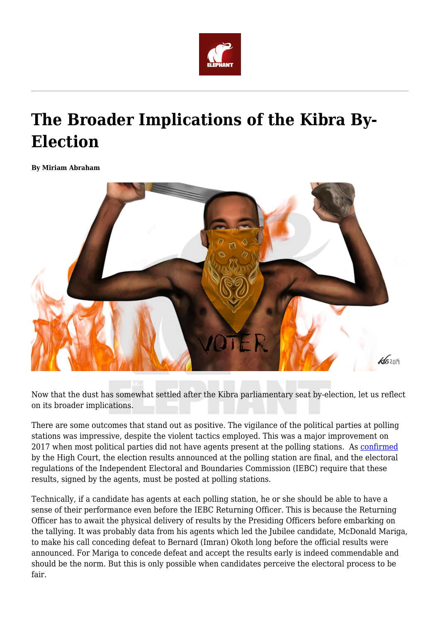

## **The Broader Implications of the Kibra By-Election**

**By Miriam Abraham**



Now that the dust has somewhat settled after the Kibra parliamentary seat by-election, let us reflect on its broader implications.

There are some outcomes that stand out as positive. The vigilance of the political parties at polling stations was impressive, despite the violent tactics employed. This was a major improvement on 2017 when most political parties did not have agents present at the polling stations. As [confirmed](http://kenyalaw.org/caselaw/cases/view/137601/) by the High Court, the election results announced at the polling station are final, and the electoral regulations of the Independent Electoral and Boundaries Commission (IEBC) require that these results, signed by the agents, must be posted at polling stations.

Technically, if a candidate has agents at each polling station, he or she should be able to have a sense of their performance even before the IEBC Returning Officer. This is because the Returning Officer has to await the physical delivery of results by the Presiding Officers before embarking on the tallying. It was probably data from his agents which led the Jubilee candidate, McDonald Mariga, to make his call conceding defeat to Bernard (Imran) Okoth long before the official results were announced. For Mariga to concede defeat and accept the results early is indeed commendable and should be the norm. But this is only possible when candidates perceive the electoral process to be fair.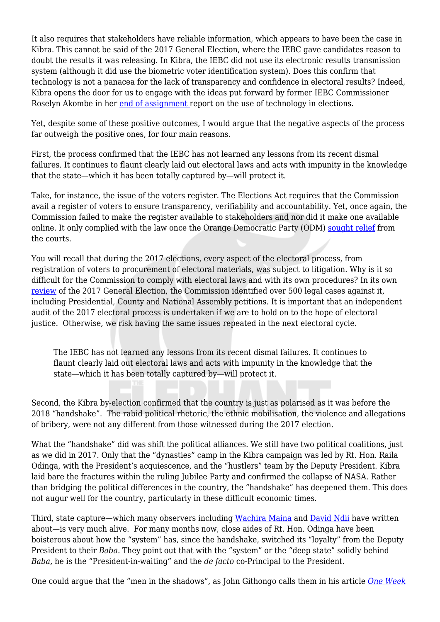It also requires that stakeholders have reliable information, which appears to have been the case in Kibra. This cannot be said of the 2017 General Election, where the IEBC gave candidates reason to doubt the results it was releasing. In Kibra, the IEBC did not use its electronic results transmission system (although it did use the biometric voter identification system). Does this confirm that technology is not a panacea for the lack of transparency and confidence in electoral results? Indeed, Kibra opens the door for us to engage with the ideas put forward by former IEBC Commissioner Roselyn Akombe in her [end of assignment r](https://www.theelephant.info/documents/end-of-assignment-report-of-former-iebc-commissioner-roselyn-akombe/)eport on the use of technology in elections.

Yet, despite some of these positive outcomes, I would argue that the negative aspects of the process far outweigh the positive ones, for four main reasons.

First, the process confirmed that the IEBC has not learned any lessons from its recent dismal failures. It continues to flaunt clearly laid out electoral laws and acts with impunity in the knowledge that the state—which it has been totally captured by—will protect it.

Take, for instance, the issue of the voters register. The Elections Act requires that the Commission avail a register of voters to ensure transparency, verifiability and accountability. Yet, once again, the Commission failed to make the register available to stakeholders and nor did it make one available online. It only complied with the law once the Orange Democratic Party (ODM) [sought relief](https://www.standardmedia.co.ke/article/2001348370/iebc-ordered-to-release-kibra-voters-register) from the courts.

You will recall that during the 2017 elections, every aspect of the electoral process, from registration of voters to procurement of electoral materials, was subject to litigation. Why is it so difficult for the Commission to comply with electoral laws and with its own procedures? In its own [review](https://www.iebc.or.ke/uploads/resources/V9UUoGqVBK.pdf) of the 2017 General Election, the Commission identified over 500 legal cases against it, including Presidential, County and National Assembly petitions. It is important that an independent audit of the 2017 electoral process is undertaken if we are to hold on to the hope of electoral justice. Otherwise, we risk having the same issues repeated in the next electoral cycle.

The IEBC has not learned any lessons from its recent dismal failures. It continues to flaunt clearly laid out electoral laws and acts with impunity in the knowledge that the state—which it has been totally captured by—will protect it.

Second, the Kibra by-election confirmed that the country is just as polarised as it was before the 2018 "handshake". The rabid political rhetoric, the ethnic mobilisation, the violence and allegations of bribery, were not any different from those witnessed during the 2017 election.

What the "handshake" did was shift the political alliances. We still have two political coalitions, just as we did in 2017. Only that the "dynasties" camp in the Kibra campaign was led by Rt. Hon. Raila Odinga, with the President's acquiescence, and the "hustlers" team by the Deputy President. Kibra laid bare the fractures within the ruling Jubilee Party and confirmed the collapse of NASA. Rather than bridging the political differences in the country, the "handshake" has deepened them. This does not augur well for the country, particularly in these difficult economic times.

Third, state capture—which many observers including [Wachira Maina](https://www.theelephant.info/documents/africog-state-capture-inside-kenyas-inability-to-fight-corruption/) and [David Ndii](https://www.theelephant.info/op-eds/2018/07/07/crony-capitalism-and-state-capture-the-kenyatta-family-story/) have written about—is very much alive. For many months now, close aides of Rt. Hon. Odinga have been boisterous about how the "system" has, since the handshake, switched its "loyalty" from the Deputy President to their *Baba*. They point out that with the "system" or the "deep state" solidly behind *Baba*, he is the "President-in-waiting" and the *de facto* co-Principal to the President.

One could argue that the "men in the shadows", as John Githongo calls them in his article *[One Week](https://www.theelephant.info/op-eds/2018/05/26/one-week-in-march-the-political-economy-of-sovereignty/)*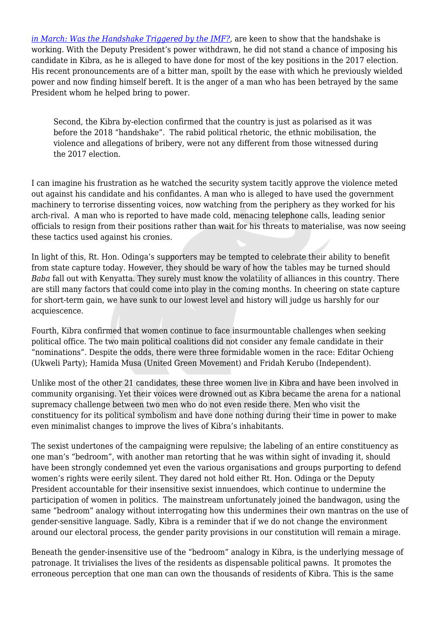*[in March: Was the Handshake Triggered by the IMF?](https://www.theelephant.info/op-eds/2018/05/26/one-week-in-march-the-political-economy-of-sovereignty/),* are keen to show that the handshake is working. With the Deputy President's power withdrawn, he did not stand a chance of imposing his candidate in Kibra, as he is alleged to have done for most of the key positions in the 2017 election. His recent pronouncements are of a bitter man, spoilt by the ease with which he previously wielded power and now finding himself bereft. It is the anger of a man who has been betrayed by the same President whom he helped bring to power.

Second, the Kibra by-election confirmed that the country is just as polarised as it was before the 2018 "handshake". The rabid political rhetoric, the ethnic mobilisation, the violence and allegations of bribery, were not any different from those witnessed during the 2017 election.

I can imagine his frustration as he watched the security system tacitly approve the violence meted out against his candidate and his confidantes. A man who is alleged to have used the government machinery to terrorise dissenting voices, now watching from the periphery as they worked for his arch-rival. A man who is reported to have made cold, menacing telephone calls, leading senior officials to resign from their positions rather than wait for his threats to materialise, was now seeing these tactics used against his cronies.

In light of this, Rt. Hon. Odinga's supporters may be tempted to celebrate their ability to benefit from state capture today. However, they should be wary of how the tables may be turned should *Baba* fall out with Kenyatta. They surely must know the volatility of alliances in this country. There are still many factors that could come into play in the coming months. In cheering on state capture for short-term gain, we have sunk to our lowest level and history will judge us harshly for our acquiescence.

Fourth, Kibra confirmed that women continue to face insurmountable challenges when seeking political office. The two main political coalitions did not consider any female candidate in their "nominations". Despite the odds, there were three formidable women in the race: Editar Ochieng (Ukweli Party); Hamida Musa (United Green Movement) and Fridah Kerubo (Independent).

Unlike most of the other 21 candidates, these three women live in Kibra and have been involved in community organising. Yet their voices were drowned out as Kibra became the arena for a national supremacy challenge between two men who do not even reside there. Men who visit the constituency for its political symbolism and have done nothing during their time in power to make even minimalist changes to improve the lives of Kibra's inhabitants.

The sexist undertones of the campaigning were repulsive; the labeling of an entire constituency as one man's "bedroom", with another man retorting that he was within sight of invading it, should have been strongly condemned yet even the various organisations and groups purporting to defend women's rights were eerily silent. They dared not hold either Rt. Hon. Odinga or the Deputy President accountable for their insensitive sexist innuendoes, which continue to undermine the participation of women in politics. The mainstream unfortunately joined the bandwagon, using the same "bedroom" analogy without interrogating how this undermines their own mantras on the use of gender-sensitive language. Sadly, Kibra is a reminder that if we do not change the environment around our electoral process, the gender parity provisions in our constitution will remain a mirage.

Beneath the gender-insensitive use of the "bedroom" analogy in Kibra, is the underlying message of patronage. It trivialises the lives of the residents as dispensable political pawns. It promotes the erroneous perception that one man can own the thousands of residents of Kibra. This is the same